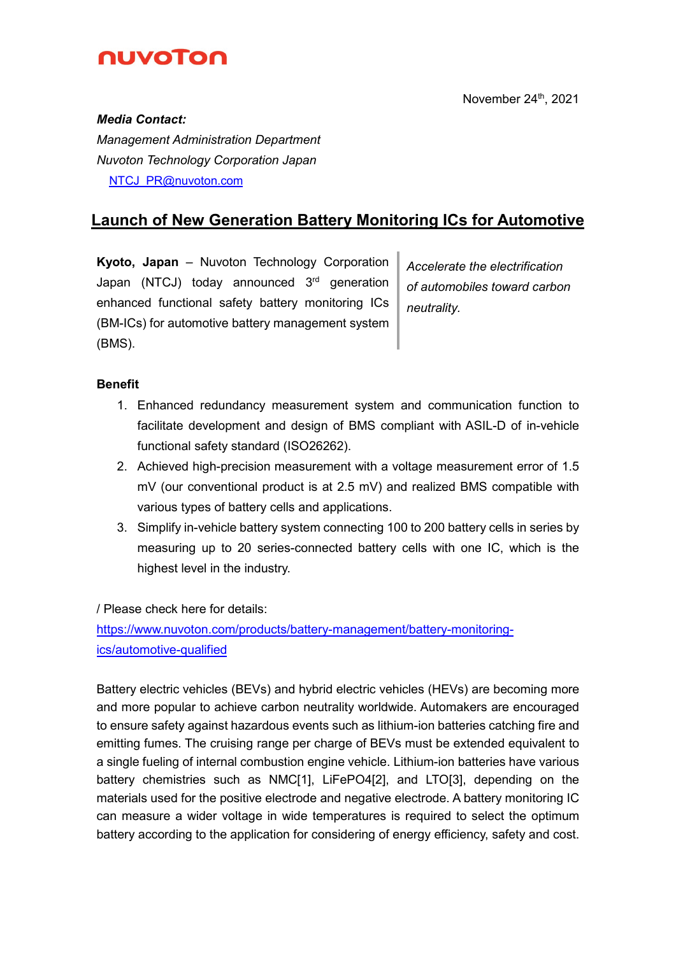

#### *Media Contact:*

*Management Administration Department Nuvoton Technology Corporation Japan* **[NTCJ\\_PR@nuvoton.com](mailto:NTCJ_PR@nuvoton.com)** 

# **Launch of New Generation Battery Monitoring ICs for Automotive**

**Kyoto, Japan** – Nuvoton Technology Corporation Japan (NTCJ) today announced 3<sup>rd</sup> generation enhanced functional safety battery monitoring ICs (BM-ICs) for automotive battery management system (BMS).

*Accelerate the electrification of automobiles toward carbon neutrality.*

## **Benefit**

- 1. Enhanced redundancy measurement system and communication function to facilitate development and design of BMS compliant with ASIL-D of in-vehicle functional safety standard (ISO26262).
- 2. Achieved high-precision measurement with a voltage measurement error of 1.5 mV (our conventional product is at 2.5 mV) and realized BMS compatible with various types of battery cells and applications.
- 3. Simplify in-vehicle battery system connecting 100 to 200 battery cells in series by measuring up to 20 series-connected battery cells with one IC, which is the highest level in the industry.

/ Please check here for details:

[https://www.nuvoton.com/products/battery-management/battery-monitoring](https://www.nuvoton.com/system/modules/com.thesys.project.nuvoton/pages/process/changeLocale.jsp?backUrl=%2Fproducts%2Fbattery-management%2Fbattery-monitoring-ics%2Fautomotive-qualified%2Findex.html&locale=en)[ics/automotive-qualified](https://www.nuvoton.com/system/modules/com.thesys.project.nuvoton/pages/process/changeLocale.jsp?backUrl=%2Fproducts%2Fbattery-management%2Fbattery-monitoring-ics%2Fautomotive-qualified%2Findex.html&locale=en)

Battery electric vehicles (BEVs) and hybrid electric vehicles (HEVs) are becoming more and more popular to achieve carbon neutrality worldwide. Automakers are encouraged to ensure safety against hazardous events such as lithium-ion batteries catching fire and emitting fumes. The cruising range per charge of BEVs must be extended equivalent to a single fueling of internal combustion engine vehicle. Lithium-ion batteries have various battery chemistries such as NMC[1], LiFePO4[2], and LTO[3], depending on the materials used for the positive electrode and negative electrode. A battery monitoring IC can measure a wider voltage in wide temperatures is required to select the optimum battery according to the application for considering of energy efficiency, safety and cost.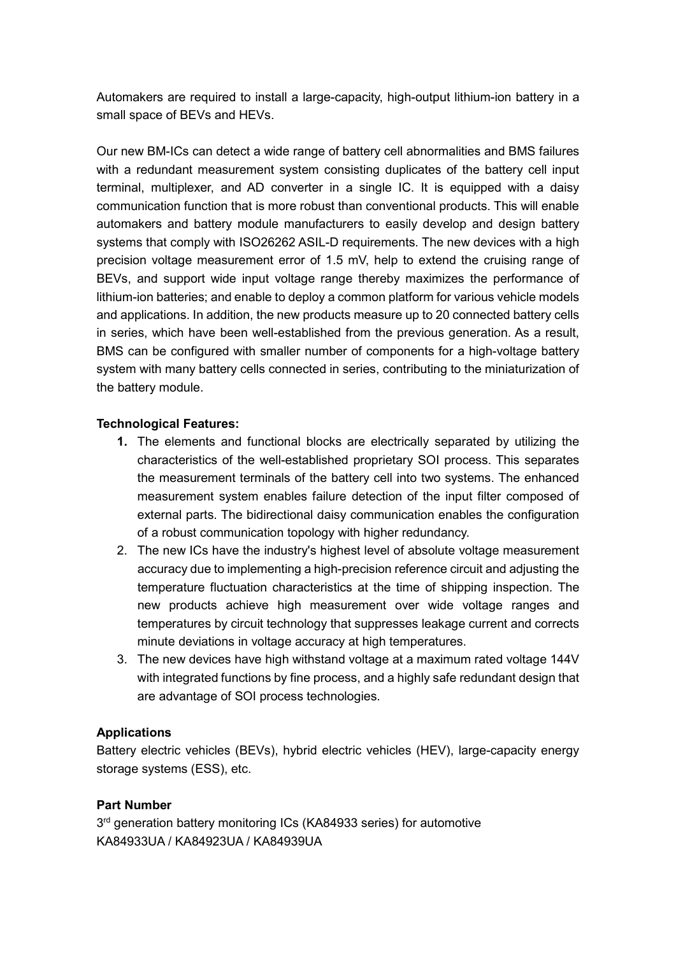Automakers are required to install a large-capacity, high-output lithium-ion battery in a small space of BEVs and HEVs.

Our new BM-ICs can detect a wide range of battery cell abnormalities and BMS failures with a redundant measurement system consisting duplicates of the battery cell input terminal, multiplexer, and AD converter in a single IC. It is equipped with a daisy communication function that is more robust than conventional products. This will enable automakers and battery module manufacturers to easily develop and design battery systems that comply with ISO26262 ASIL-D requirements. The new devices with a high precision voltage measurement error of 1.5 mV, help to extend the cruising range of BEVs, and support wide input voltage range thereby maximizes the performance of lithium-ion batteries; and enable to deploy a common platform for various vehicle models and applications. In addition, the new products measure up to 20 connected battery cells in series, which have been well-established from the previous generation. As a result, BMS can be configured with smaller number of components for a high-voltage battery system with many battery cells connected in series, contributing to the miniaturization of the battery module.

## **Technological Features:**

- **1.** The elements and functional blocks are electrically separated by utilizing the characteristics of the well-established proprietary SOI process. This separates the measurement terminals of the battery cell into two systems. The enhanced measurement system enables failure detection of the input filter composed of external parts. The bidirectional daisy communication enables the configuration of a robust communication topology with higher redundancy.
- 2. The new ICs have the industry's highest level of absolute voltage measurement accuracy due to implementing a high-precision reference circuit and adjusting the temperature fluctuation characteristics at the time of shipping inspection. The new products achieve high measurement over wide voltage ranges and temperatures by circuit technology that suppresses leakage current and corrects minute deviations in voltage accuracy at high temperatures.
- 3. The new devices have high withstand voltage at a maximum rated voltage 144V with integrated functions by fine process, and a highly safe redundant design that are advantage of SOI process technologies.

### **Applications**

Battery electric vehicles (BEVs), hybrid electric vehicles (HEV), large-capacity energy storage systems (ESS), etc.

### **Part Number**

3<sup>rd</sup> generation battery monitoring ICs (KA84933 series) for automotive KA84933UA / KA84923UA / KA84939UA